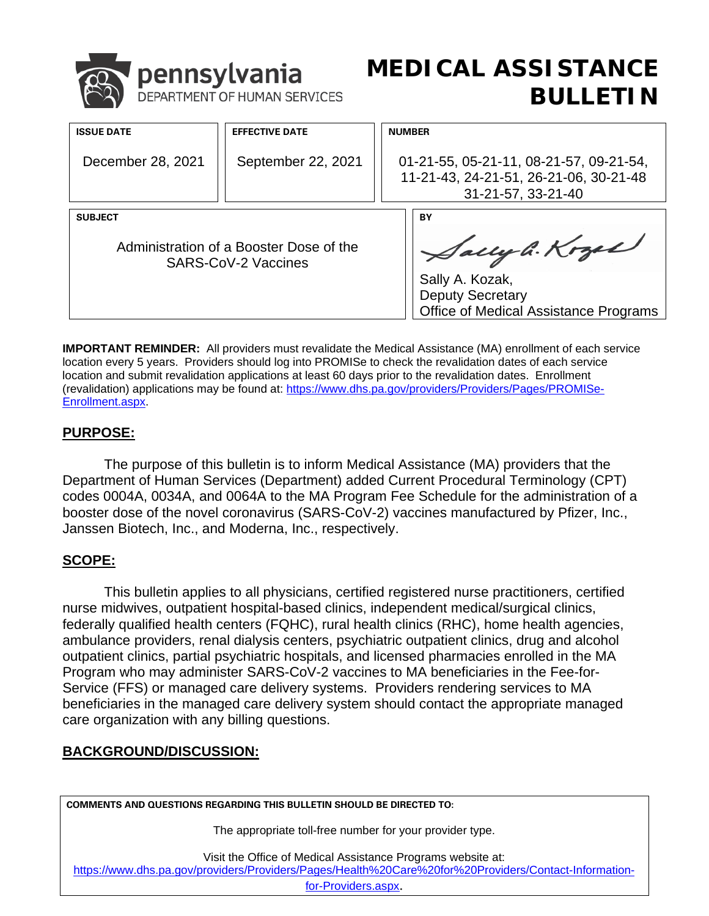|                   | <sup>1</sup> pennsylvania | DEPARTMENT OF HUMAN SERVICES | ME |
|-------------------|---------------------------|------------------------------|----|
| <b>ISSUE DATE</b> |                           | <b>EFFECTIVE DATE</b>        |    |

# **MEDICAL ASSISTANCE BULLETIN**

| <b>ISSUE DATE</b> | <b>EFFECTIVE DATE</b>                                          | <b>NUMBER</b>                                                                                               |
|-------------------|----------------------------------------------------------------|-------------------------------------------------------------------------------------------------------------|
| December 28, 2021 | September 22, 2021                                             | 01-21-55, 05-21-11, 08-21-57, 09-21-54,<br>11-21-43, 24-21-51, 26-21-06, 30-21-48<br>31-21-57, 33-21-40     |
|                   |                                                                |                                                                                                             |
| <b>SUBJECT</b>    | Administration of a Booster Dose of the<br>SARS-CoV-2 Vaccines | BY<br>Sally G. Kozak<br>Sally A. Kozak,<br><b>Deputy Secretary</b><br>Office of Medical Assistance Programs |

 **IMPORTANT REMINDER:** All providers must revalidate the Medical Assistance (MA) enrollment of each service location every 5 years. Providers should log into PROMISe to check the revalidation dates of each service location and submit revalidation applications at least 60 days prior to the revalidation dates. Enrollment (revalidation) applications may be found at: [https://www.dhs.pa.gov/providers/Providers/Pages/PROMISe-](https://www.dhs.pa.gov/providers/Providers/Pages/PROMISe-Enrollment.aspx)[Enrollment.aspx.](https://www.dhs.pa.gov/providers/Providers/Pages/PROMISe-Enrollment.aspx)

#### **PURPOSE:**

 Department of Human Services (Department) added Current Procedural Terminology (CPT) The purpose of this bulletin is to inform Medical Assistance (MA) providers that the codes 0004A, 0034A, and 0064A to the MA Program Fee Schedule for the administration of a booster dose of the novel coronavirus (SARS-CoV-2) vaccines manufactured by Pfizer, Inc., Janssen Biotech, Inc., and Moderna, Inc., respectively.

#### **SCOPE:**

 nurse midwives, outpatient hospital-based clinics, independent medical/surgical clinics, Program who may administer SARS-CoV-2 vaccines to MA beneficiaries in the Fee-for- Service (FFS) or managed care delivery systems. Providers rendering services to MA This bulletin applies to all physicians, certified registered nurse practitioners, certified federally qualified health centers (FQHC), rural health clinics (RHC), home health agencies, ambulance providers, renal dialysis centers, psychiatric outpatient clinics, drug and alcohol outpatient clinics, partial psychiatric hospitals, and licensed pharmacies enrolled in the MA beneficiaries in the managed care delivery system should contact the appropriate managed care organization with any billing questions.

### **BACKGROUND/DISCUSSION:**

**COMMENTS AND QUESTIONS REGARDING THIS BULLETIN SHOULD BE DIRECTED TO:** 

for your provider type.

the Office of Medical Assistance Programs website at:

[https://www.dhs.pa.gov/providers/Providers/Pages/Health%20Care%20for%20Providers/Contact-Information-](https://www.dhs.pa.gov/providers/Providers/Pages/Health%20Care%20for%20Providers/Contact-Information-for-Providers.aspx)

[for-Providers.aspx](https://www.dhs.pa.gov/providers/Providers/Pages/Health%20Care%20for%20Providers/Contact-Information-for-Providers.aspx).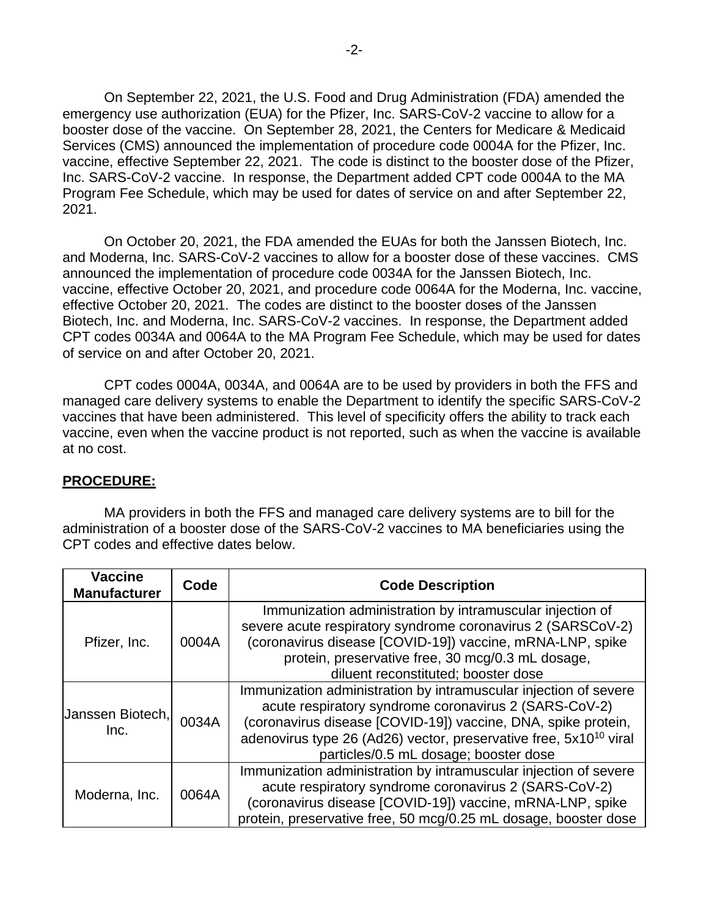On September 22, 2021, the U.S. Food and Drug Administration (FDA) amended the booster dose of the vaccine. On September 28, 2021, the Centers for Medicare & Medicaid Services (CMS) announced the implementation of procedure code 0004A for the Pfizer, Inc. vaccine, effective September 22, 2021. The code is distinct to the booster dose of the Pfizer, Inc. SARS-CoV-2 vaccine. In response, the Department added CPT code 0004A to the MA emergency use authorization (EUA) for the Pfizer, Inc. SARS-CoV-2 vaccine to allow for a Program Fee Schedule, which may be used for dates of service on and after September 22, 2021.

 and Moderna, Inc. SARS-CoV-2 vaccines to allow for a booster dose of these vaccines. CMS effective October 20, 2021. The codes are distinct to the booster doses of the Janssen Biotech, Inc. and Moderna, Inc. SARS-CoV-2 vaccines. In response, the Department added of service on and after October 20, 2021. On October 20, 2021, the FDA amended the EUAs for both the Janssen Biotech, Inc. announced the implementation of procedure code 0034A for the Janssen Biotech, Inc. vaccine, effective October 20, 2021, and procedure code 0064A for the Moderna, Inc. vaccine, CPT codes 0034A and 0064A to the MA Program Fee Schedule, which may be used for dates

 vaccines that have been administered. This level of specificity offers the ability to track each CPT codes 0004A, 0034A, and 0064A are to be used by providers in both the FFS and managed care delivery systems to enable the Department to identify the specific SARS-CoV-2 vaccine, even when the vaccine product is not reported, such as when the vaccine is available at no cost.

#### **PROCEDURE:**

 administration of a booster dose of the SARS-CoV-2 vaccines to MA beneficiaries using the CPT codes and effective dates below. MA providers in both the FFS and managed care delivery systems are to bill for the

| <b>Vaccine</b><br><b>Manufacturer</b> | Code  | <b>Code Description</b>                                                                                                                                                                                                                                                                                              |
|---------------------------------------|-------|----------------------------------------------------------------------------------------------------------------------------------------------------------------------------------------------------------------------------------------------------------------------------------------------------------------------|
| Pfizer, Inc.                          | 0004A | Immunization administration by intramuscular injection of<br>severe acute respiratory syndrome coronavirus 2 (SARSCoV-2)<br>(coronavirus disease [COVID-19]) vaccine, mRNA-LNP, spike<br>protein, preservative free, 30 mcg/0.3 mL dosage,<br>diluent reconstituted; booster dose                                    |
| Janssen Biotech,<br>Inc.              | 0034A | Immunization administration by intramuscular injection of severe<br>acute respiratory syndrome coronavirus 2 (SARS-CoV-2)<br>(coronavirus disease [COVID-19]) vaccine, DNA, spike protein,<br>adenovirus type 26 (Ad26) vector, preservative free, 5x10 <sup>10</sup> viral<br>particles/0.5 mL dosage; booster dose |
| Moderna, Inc.                         | 0064A | Immunization administration by intramuscular injection of severe<br>acute respiratory syndrome coronavirus 2 (SARS-CoV-2)<br>(coronavirus disease [COVID-19]) vaccine, mRNA-LNP, spike<br>protein, preservative free, 50 mcg/0.25 mL dosage, booster dose                                                            |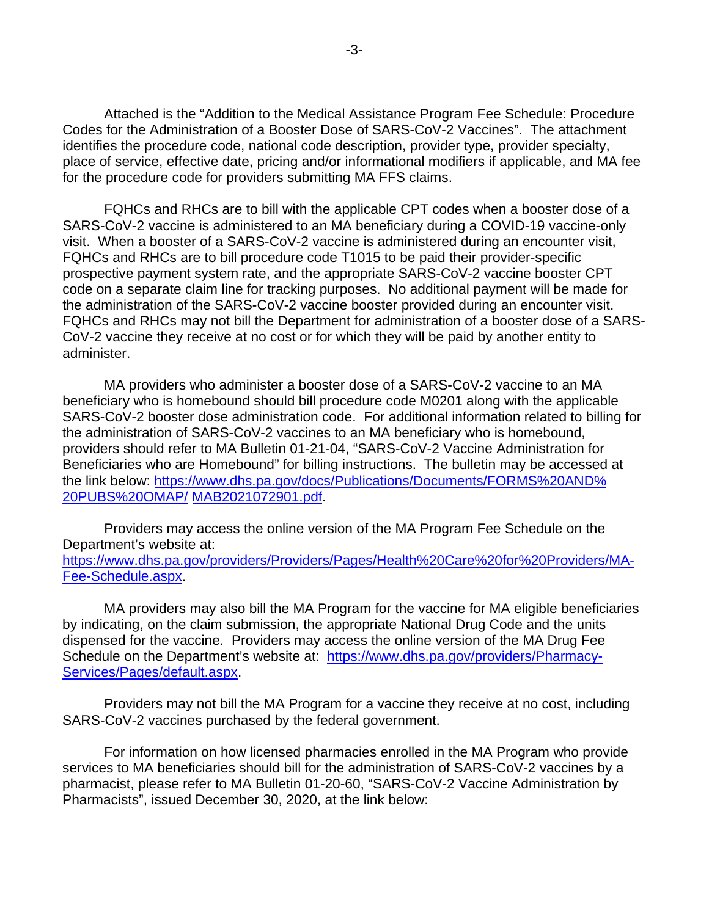Codes for the Administration of a Booster Dose of SARS-CoV-2 Vaccines". The attachment for the procedure code for providers submitting MA FFS claims. Attached is the "Addition to the Medical Assistance Program Fee Schedule: Procedure identifies the procedure code, national code description, provider type, provider specialty, place of service, effective date, pricing and/or informational modifiers if applicable, and MA fee

 prospective payment system rate, and the appropriate SARS-CoV-2 vaccine booster CPT code on a separate claim line for tracking purposes. No additional payment will be made for the administration of the SARS-CoV-2 vaccine booster provided during an encounter visit. FQHCs and RHCs are to bill with the applicable CPT codes when a booster dose of a SARS-CoV-2 vaccine is administered to an MA beneficiary during a COVID-19 vaccine-only visit. When a booster of a SARS-CoV-2 vaccine is administered during an encounter visit, FQHCs and RHCs are to bill procedure code T1015 to be paid their provider-specific FQHCs and RHCs may not bill the Department for administration of a booster dose of a SARS-CoV-2 vaccine they receive at no cost or for which they will be paid by another entity to administer.

 MA providers who administer a booster dose of a SARS-CoV-2 vaccine to an MA Beneficiaries who are Homebound" for billing instructions. The bulletin may be accessed at beneficiary who is homebound should bill procedure code M0201 along with the applicable SARS-CoV-2 booster dose administration code. For additional information related to billing for the administration of SARS-CoV-2 vaccines to an MA beneficiary who is homebound, providers should refer to MA Bulletin 01-21-04, "SARS-CoV-2 Vaccine Administration for [the link below: https://www.dhs.pa.gov/docs/Publications/Documents/FORMS%20AND%](https://www.dhs.pa.gov/docs/Publications/Documents/FORMS%20AND%20PUBS%20OMAP/MAB2021072901.pdf)  [20PUBS%20OMAP/ M](https://www.dhs.pa.gov/docs/Publications/Documents/FORMS%20AND%20PUBS%20OMAP/MAB2021072901.pdf)AB2021072901.pdf.

Providers may access the online version of the MA Program Fee Schedule on the Department's website at: [https://www.dhs.pa.gov/providers/Providers/Pages/Health%20Care%20for%20Providers/MA-](https://www.dhs.pa.gov/providers/Providers/Pages/Health%20Care%20for%20Providers/MA-Fee-Schedule.aspx)[Fee-Schedule.aspx.](https://www.dhs.pa.gov/providers/Providers/Pages/Health%20Care%20for%20Providers/MA-Fee-Schedule.aspx)

 dispensed for the vaccine. Providers may access the online version of the MA Drug Fee Schedule on the Department's website at: [https://www.dhs.pa.gov/providers/Pharmacy-](https://www.dhs.pa.gov/providers/Pharmacy-Services/Pages/default.aspx)MA providers may also bill the MA Program for the vaccine for MA eligible beneficiaries by indicating, on the claim submission, the appropriate National Drug Code and the units [Services/Pages/default.aspx.](https://www.dhs.pa.gov/providers/Pharmacy-Services/Pages/default.aspx)

Providers may not bill the MA Program for a vaccine they receive at no cost, including SARS-CoV-2 vaccines purchased by the federal government.

For information on how licensed pharmacies enrolled in the MA Program who provide services to MA beneficiaries should bill for the administration of SARS-CoV-2 vaccines by a pharmacist, please refer to MA Bulletin 01-20-60, "SARS-CoV-2 Vaccine Administration by Pharmacists", issued December 30, 2020, at the link below: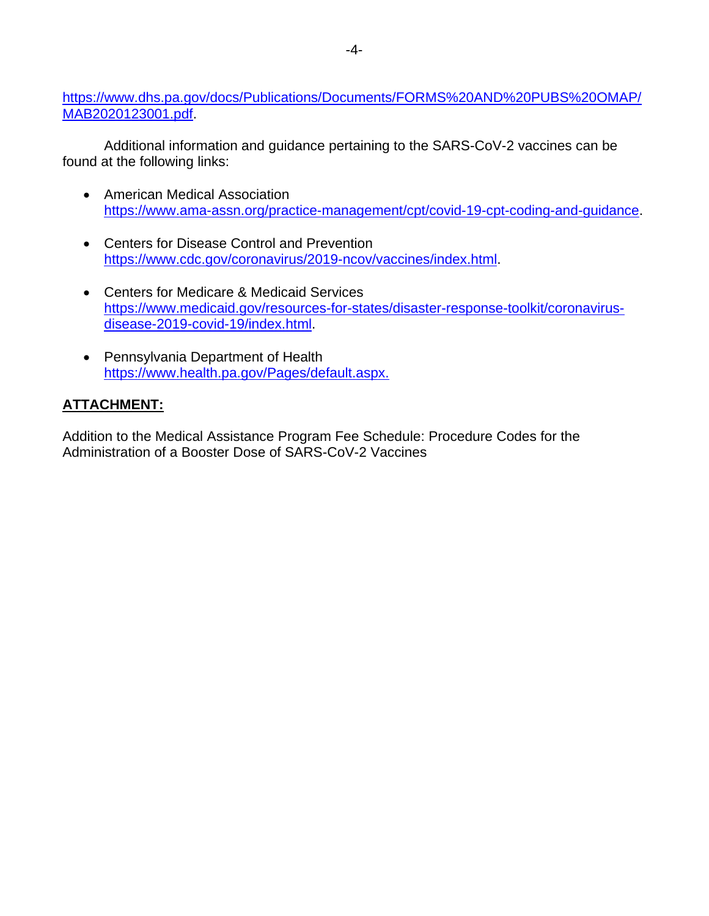[https://www.dhs.pa.gov/docs/Publications/Documents/FORMS%20AND%20PUBS%20OMAP/](https://www.dhs.pa.gov/docs/Publications/Documents/FORMS%20AND%20PUBS%20OMAP/MAB2020123001.pdf)  [MAB2020123001.pdf.](https://www.dhs.pa.gov/docs/Publications/Documents/FORMS%20AND%20PUBS%20OMAP/MAB2020123001.pdf)

Additional information and guidance pertaining to the SARS-CoV-2 vaccines can be found at the following links:

- •American Medical Association [https://www.ama-assn.org/practice-management/cpt/covid-19-cpt-coding-and-guidance.](https://www.ama-assn.org/practice-management/cpt/covid-19-cpt-coding-and-guidance)
- **Centers for Disease Control and Prevention** • Centers for Disease Control and Prevention<br>https://www.cdc.gov/coronavirus/2019-ncov/vaccines/index.html.
- •Centers for Medicare & Medicaid Services [https://www.medicaid.gov/resources-for-states/disaster-response-toolkit/coronavirus](https://www.medicaid.gov/resources-for-states/disaster-response-toolkit/coronavirus-disease-2019-covid-19/index.html)[disease-2019-covid-19/index.html.](https://www.medicaid.gov/resources-for-states/disaster-response-toolkit/coronavirus-disease-2019-covid-19/index.html)
- [https://www.health.pa.gov/Pages/default.aspx.](https://www.health.pa.gov/Pages/default.aspx) •Pennsylvania Department of Health

## **ATTACHMENT:**

Addition to the Medical Assistance Program Fee Schedule: Procedure Codes for the Administration of a Booster Dose of SARS-CoV-2 Vaccines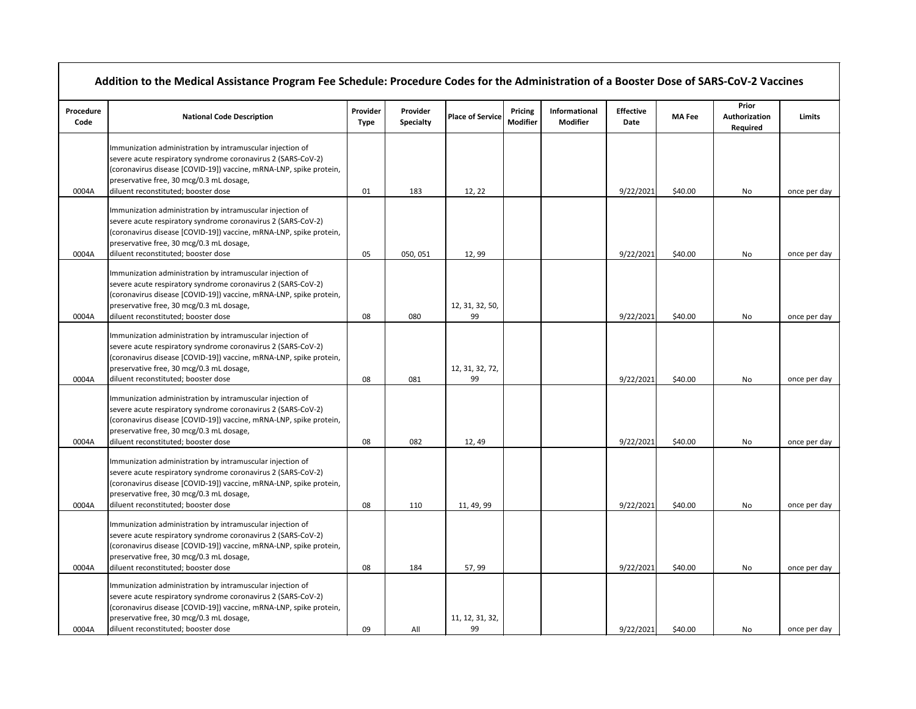| Procedure<br>Code | <b>National Code Description</b>                                                                                                                                                                                                                                                   | Provider<br><b>Type</b> | Provider<br><b>Specialty</b> | <b>Place of Service</b> | <b>Pricing</b><br><b>Modifier</b> | Informational<br><b>Modifier</b> | <b>Effective</b><br>Date | <b>MA Fee</b> | Prior<br>Authorization<br><b>Required</b> | <b>Limits</b> |
|-------------------|------------------------------------------------------------------------------------------------------------------------------------------------------------------------------------------------------------------------------------------------------------------------------------|-------------------------|------------------------------|-------------------------|-----------------------------------|----------------------------------|--------------------------|---------------|-------------------------------------------|---------------|
|                   | Immunization administration by intramuscular injection of<br>severe acute respiratory syndrome coronavirus 2 (SARS-CoV-2)<br>(coronavirus disease [COVID-19]) vaccine, mRNA-LNP, spike protein,<br>preservative free, 30 mcg/0.3 mL dosage,                                        |                         |                              |                         |                                   |                                  |                          |               |                                           |               |
| 0004A             | diluent reconstituted; booster dose                                                                                                                                                                                                                                                | 01                      | 183                          | 12, 22                  |                                   |                                  | 9/22/2021                | \$40.00       | No                                        | once per day  |
| 0004A             | Immunization administration by intramuscular injection of<br>severe acute respiratory syndrome coronavirus 2 (SARS-CoV-2)<br>(coronavirus disease [COVID-19]) vaccine, mRNA-LNP, spike protein,<br>preservative free, 30 mcg/0.3 mL dosage,<br>diluent reconstituted; booster dose | 05                      | 050, 051                     | 12,99                   |                                   |                                  | 9/22/2021                | \$40.00       | No                                        | once per day  |
|                   | Immunization administration by intramuscular injection of<br>severe acute respiratory syndrome coronavirus 2 (SARS-CoV-2)<br>(coronavirus disease [COVID-19]) vaccine, mRNA-LNP, spike protein,<br>preservative free, 30 mcg/0.3 mL dosage,                                        |                         |                              | 12, 31, 32, 50,         |                                   |                                  |                          |               |                                           |               |
| 0004A             | diluent reconstituted; booster dose                                                                                                                                                                                                                                                | 08                      | 080                          | 99                      |                                   |                                  | 9/22/2021                | \$40.00       | No                                        | once per day  |
|                   | Immunization administration by intramuscular injection of<br>severe acute respiratory syndrome coronavirus 2 (SARS-CoV-2)<br>(coronavirus disease [COVID-19]) vaccine, mRNA-LNP, spike protein,<br>preservative free, 30 mcg/0.3 mL dosage,                                        |                         |                              | 12, 31, 32, 72,         |                                   |                                  |                          |               |                                           |               |
| 0004A             | diluent reconstituted; booster dose<br>Immunization administration by intramuscular injection of<br>severe acute respiratory syndrome coronavirus 2 (SARS-CoV-2)<br>(coronavirus disease [COVID-19]) vaccine, mRNA-LNP, spike protein,<br>preservative free, 30 mcg/0.3 mL dosage, | 08                      | 081                          | 99                      |                                   |                                  | 9/22/2021                | \$40.00       | No                                        | once per day  |
| 0004A             | diluent reconstituted; booster dose<br>Immunization administration by intramuscular injection of<br>severe acute respiratory syndrome coronavirus 2 (SARS-CoV-2)<br>(coronavirus disease [COVID-19]) vaccine, mRNA-LNP, spike protein,<br>preservative free, 30 mcg/0.3 mL dosage, | 08                      | 082                          | 12, 49                  |                                   |                                  | 9/22/2021                | \$40.00       | No                                        | once per day  |
| 0004A             | diluent reconstituted; booster dose                                                                                                                                                                                                                                                | 08                      | 110                          | 11, 49, 99              |                                   |                                  | 9/22/2021                | \$40.00       | No                                        | once per day  |
|                   | Immunization administration by intramuscular injection of<br>severe acute respiratory syndrome coronavirus 2 (SARS-CoV-2)<br>(coronavirus disease [COVID-19]) vaccine, mRNA-LNP, spike protein,<br>preservative free, 30 mcg/0.3 mL dosage,                                        |                         |                              |                         |                                   |                                  |                          |               |                                           |               |
| 0004A             | diluent reconstituted; booster dose                                                                                                                                                                                                                                                | 08                      | 184                          | 57, 99                  |                                   |                                  | 9/22/2021                | \$40.00       | No                                        | once per day  |
| 0004A             | Immunization administration by intramuscular injection of<br>severe acute respiratory syndrome coronavirus 2 (SARS-CoV-2)<br>(coronavirus disease [COVID-19]) vaccine, mRNA-LNP, spike protein,<br>preservative free, 30 mcg/0.3 mL dosage,<br>diluent reconstituted; booster dose | 09                      | All                          | 11, 12, 31, 32,<br>99   |                                   |                                  | 9/22/2021                | \$40.00       | No                                        | once per day  |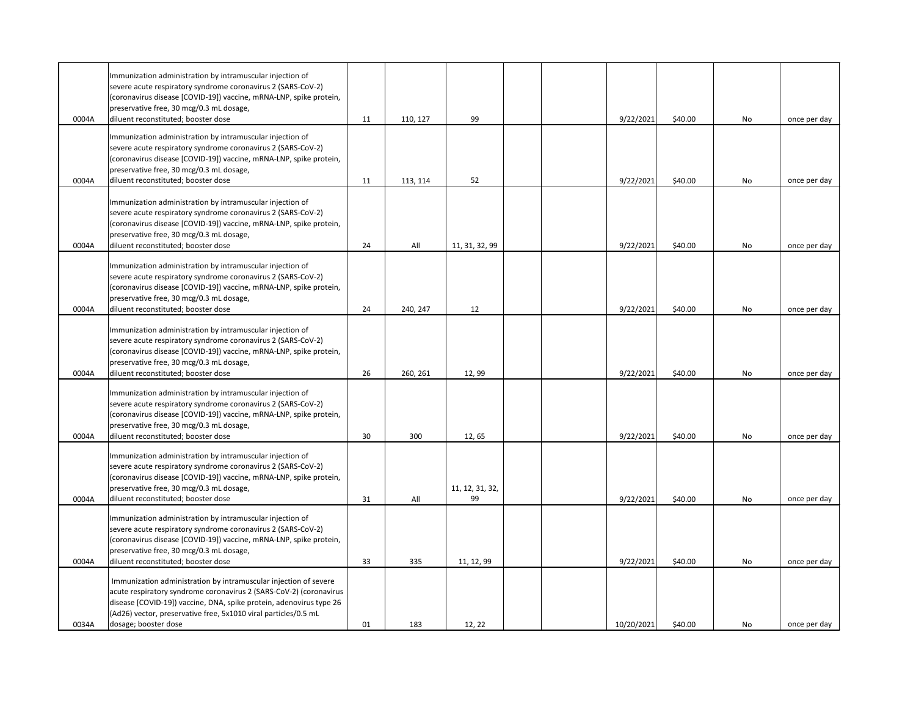| 0004A | Immunization administration by intramuscular injection of<br>severe acute respiratory syndrome coronavirus 2 (SARS-CoV-2)<br>(coronavirus disease [COVID-19]) vaccine, mRNA-LNP, spike protein,<br>preservative free, 30 mcg/0.3 mL dosage,<br>diluent reconstituted; booster dose                       | 11 | 110, 127 | 99                    |  | 9/22/2021  | \$40.00 | No | once per day |
|-------|----------------------------------------------------------------------------------------------------------------------------------------------------------------------------------------------------------------------------------------------------------------------------------------------------------|----|----------|-----------------------|--|------------|---------|----|--------------|
| 0004A | Immunization administration by intramuscular injection of<br>severe acute respiratory syndrome coronavirus 2 (SARS-CoV-2)<br>(coronavirus disease [COVID-19]) vaccine, mRNA-LNP, spike protein,<br>preservative free, 30 mcg/0.3 mL dosage,<br>diluent reconstituted; booster dose                       | 11 | 113, 114 | 52                    |  | 9/22/2021  | \$40.00 | No | once per day |
| 0004A | Immunization administration by intramuscular injection of<br>severe acute respiratory syndrome coronavirus 2 (SARS-CoV-2)<br>(coronavirus disease [COVID-19]) vaccine, mRNA-LNP, spike protein,<br>preservative free, 30 mcg/0.3 mL dosage,<br>diluent reconstituted; booster dose                       | 24 | All      | 11, 31, 32, 99        |  | 9/22/2021  | \$40.00 | No | once per day |
| 0004A | Immunization administration by intramuscular injection of<br>severe acute respiratory syndrome coronavirus 2 (SARS-CoV-2)<br>(coronavirus disease [COVID-19]) vaccine, mRNA-LNP, spike protein,<br>preservative free, 30 mcg/0.3 mL dosage,<br>diluent reconstituted; booster dose                       | 24 | 240, 247 | 12                    |  | 9/22/2021  | \$40.00 | No | once per day |
| 0004A | Immunization administration by intramuscular injection of<br>severe acute respiratory syndrome coronavirus 2 (SARS-CoV-2)<br>(coronavirus disease [COVID-19]) vaccine, mRNA-LNP, spike protein,<br>preservative free, 30 mcg/0.3 mL dosage,<br>diluent reconstituted; booster dose                       | 26 | 260, 261 | 12,99                 |  | 9/22/2021  | \$40.00 | No | once per day |
| 0004A | Immunization administration by intramuscular injection of<br>severe acute respiratory syndrome coronavirus 2 (SARS-CoV-2)<br>(coronavirus disease [COVID-19]) vaccine, mRNA-LNP, spike protein,<br>preservative free, 30 mcg/0.3 mL dosage,<br>diluent reconstituted; booster dose                       | 30 | 300      | 12,65                 |  | 9/22/2021  | \$40.00 | No | once per day |
| 0004A | Immunization administration by intramuscular injection of<br>severe acute respiratory syndrome coronavirus 2 (SARS-CoV-2)<br>(coronavirus disease [COVID-19]) vaccine, mRNA-LNP, spike protein,<br>preservative free, 30 mcg/0.3 mL dosage,<br>diluent reconstituted; booster dose                       | 31 | All      | 11, 12, 31, 32,<br>99 |  | 9/22/2021  | \$40.00 | No | once per day |
| 0004A | Immunization administration by intramuscular injection of<br>severe acute respiratory syndrome coronavirus 2 (SARS-CoV-2)<br>(coronavirus disease [COVID-19]) vaccine, mRNA-LNP, spike protein,<br>preservative free, 30 mcg/0.3 mL dosage,<br>diluent reconstituted; booster dose                       | 33 | 335      | 11, 12, 99            |  | 9/22/2021  | \$40.00 | No | once per day |
| 0034A | Immunization administration by intramuscular injection of severe<br>acute respiratory syndrome coronavirus 2 (SARS-CoV-2) (coronavirus<br>disease [COVID-19]) vaccine, DNA, spike protein, adenovirus type 26<br>(Ad26) vector, preservative free, 5x1010 viral particles/0.5 mL<br>dosage; booster dose | 01 | 183      | 12, 22                |  | 10/20/2021 | \$40.00 | No | once per day |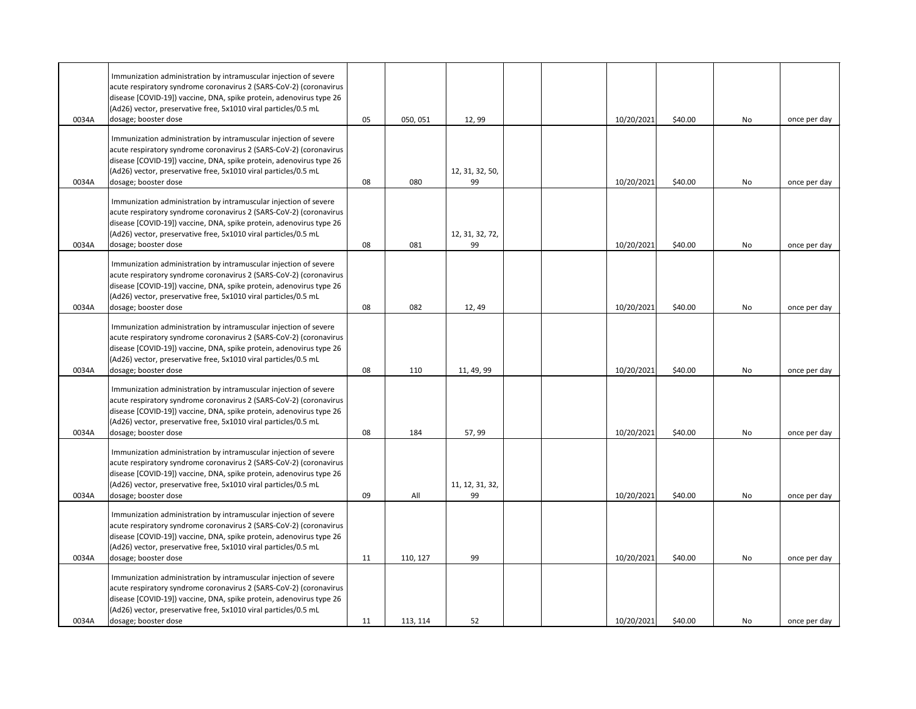| 0034A | Immunization administration by intramuscular injection of severe<br>acute respiratory syndrome coronavirus 2 (SARS-CoV-2) (coronavirus<br>disease [COVID-19]) vaccine, DNA, spike protein, adenovirus type 26<br>(Ad26) vector, preservative free, 5x1010 viral particles/0.5 mL<br>dosage; booster dose | 05 | 050, 051 | 12,99                 |  | 10/20/2021 | \$40.00 | No | once per day |
|-------|----------------------------------------------------------------------------------------------------------------------------------------------------------------------------------------------------------------------------------------------------------------------------------------------------------|----|----------|-----------------------|--|------------|---------|----|--------------|
|       | Immunization administration by intramuscular injection of severe<br>acute respiratory syndrome coronavirus 2 (SARS-CoV-2) (coronavirus<br>disease [COVID-19]) vaccine, DNA, spike protein, adenovirus type 26<br>(Ad26) vector, preservative free, 5x1010 viral particles/0.5 mL                         |    |          | 12, 31, 32, 50,       |  |            |         |    |              |
| 0034A | dosage; booster dose                                                                                                                                                                                                                                                                                     | 08 | 080      | 99                    |  | 10/20/2021 | \$40.00 | No | once per day |
| 0034A | Immunization administration by intramuscular injection of severe<br>acute respiratory syndrome coronavirus 2 (SARS-CoV-2) (coronavirus<br>disease [COVID-19]) vaccine, DNA, spike protein, adenovirus type 26<br>(Ad26) vector, preservative free, 5x1010 viral particles/0.5 mL<br>dosage; booster dose | 08 | 081      | 12, 31, 32, 72,<br>99 |  | 10/20/2021 | \$40.00 | No | once per day |
| 0034A | Immunization administration by intramuscular injection of severe<br>acute respiratory syndrome coronavirus 2 (SARS-CoV-2) (coronavirus<br>disease [COVID-19]) vaccine, DNA, spike protein, adenovirus type 26<br>(Ad26) vector, preservative free, 5x1010 viral particles/0.5 mL<br>dosage; booster dose | 08 | 082      | 12,49                 |  | 10/20/2021 | \$40.00 | No | once per day |
| 0034A | Immunization administration by intramuscular injection of severe<br>acute respiratory syndrome coronavirus 2 (SARS-CoV-2) (coronavirus<br>disease [COVID-19]) vaccine, DNA, spike protein, adenovirus type 26<br>(Ad26) vector, preservative free, 5x1010 viral particles/0.5 mL<br>dosage; booster dose | 08 | 110      | 11, 49, 99            |  | 10/20/2021 | \$40.00 | No | once per day |
| 0034A | Immunization administration by intramuscular injection of severe<br>acute respiratory syndrome coronavirus 2 (SARS-CoV-2) (coronavirus<br>disease [COVID-19]) vaccine, DNA, spike protein, adenovirus type 26<br>(Ad26) vector, preservative free, 5x1010 viral particles/0.5 mL<br>dosage; booster dose | 08 | 184      | 57,99                 |  | 10/20/2021 | \$40.00 | No | once per day |
| 0034A | Immunization administration by intramuscular injection of severe<br>acute respiratory syndrome coronavirus 2 (SARS-CoV-2) (coronavirus<br>disease [COVID-19]) vaccine, DNA, spike protein, adenovirus type 26<br>(Ad26) vector, preservative free, 5x1010 viral particles/0.5 mL<br>dosage; booster dose | 09 | All      | 11, 12, 31, 32,<br>99 |  | 10/20/2021 | \$40.00 | No | once per day |
| 0034A | Immunization administration by intramuscular injection of severe<br>acute respiratory syndrome coronavirus 2 (SARS-CoV-2) (coronavirus<br>disease [COVID-19]) vaccine, DNA, spike protein, adenovirus type 26<br>(Ad26) vector, preservative free, 5x1010 viral particles/0.5 mL<br>dosage; booster dose | 11 | 110, 127 | 99                    |  | 10/20/2021 | \$40.00 | No | once per day |
| 0034A | Immunization administration by intramuscular injection of severe<br>acute respiratory syndrome coronavirus 2 (SARS-CoV-2) (coronavirus<br>disease [COVID-19]) vaccine, DNA, spike protein, adenovirus type 26<br>(Ad26) vector, preservative free, 5x1010 viral particles/0.5 mL<br>dosage; booster dose | 11 | 113, 114 | 52                    |  | 10/20/2021 | \$40.00 | No | once per day |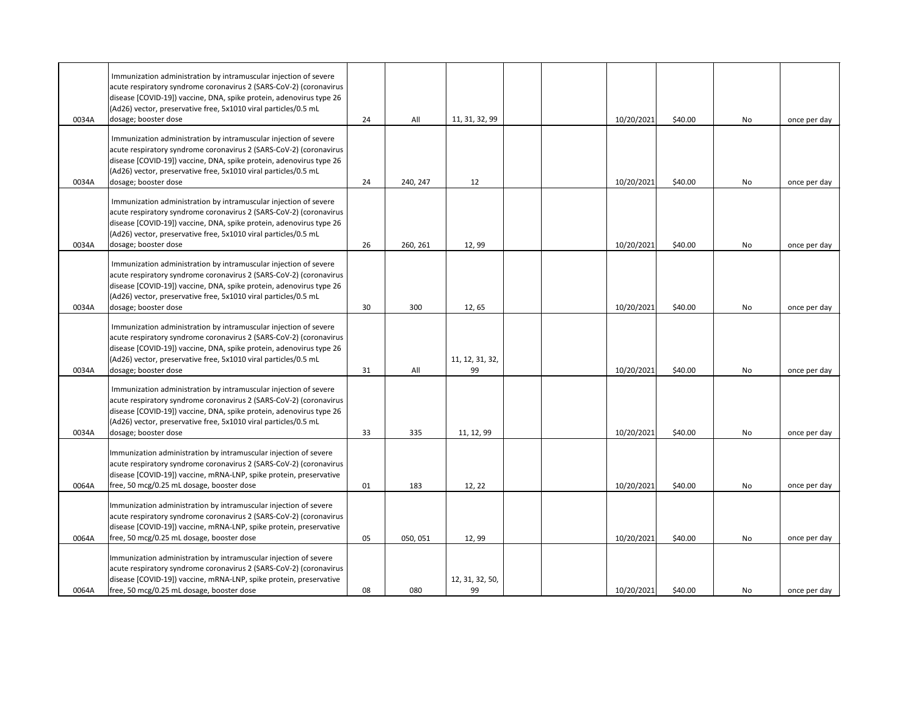| 0034A | Immunization administration by intramuscular injection of severe<br>acute respiratory syndrome coronavirus 2 (SARS-CoV-2) (coronavirus<br>disease [COVID-19]) vaccine, DNA, spike protein, adenovirus type 26<br>(Ad26) vector, preservative free, 5x1010 viral particles/0.5 mL<br>dosage; booster dose | 24 | All      | 11, 31, 32, 99        |  | 10/20/2021 | \$40.00 | No | once per day |
|-------|----------------------------------------------------------------------------------------------------------------------------------------------------------------------------------------------------------------------------------------------------------------------------------------------------------|----|----------|-----------------------|--|------------|---------|----|--------------|
| 0034A | Immunization administration by intramuscular injection of severe<br>acute respiratory syndrome coronavirus 2 (SARS-CoV-2) (coronavirus<br>disease [COVID-19]) vaccine, DNA, spike protein, adenovirus type 26<br>(Ad26) vector, preservative free, 5x1010 viral particles/0.5 mL<br>dosage; booster dose | 24 | 240, 247 | 12                    |  | 10/20/2021 | \$40.00 | No | once per day |
| 0034A | Immunization administration by intramuscular injection of severe<br>acute respiratory syndrome coronavirus 2 (SARS-CoV-2) (coronavirus<br>disease [COVID-19]) vaccine, DNA, spike protein, adenovirus type 26<br>(Ad26) vector, preservative free, 5x1010 viral particles/0.5 mL<br>dosage; booster dose | 26 | 260, 261 | 12,99                 |  | 10/20/2021 | \$40.00 | No | once per day |
| 0034A | Immunization administration by intramuscular injection of severe<br>acute respiratory syndrome coronavirus 2 (SARS-CoV-2) (coronavirus<br>disease [COVID-19]) vaccine, DNA, spike protein, adenovirus type 26<br>(Ad26) vector, preservative free, 5x1010 viral particles/0.5 mL<br>dosage; booster dose | 30 | 300      | 12,65                 |  | 10/20/2021 | \$40.00 | No | once per day |
| 0034A | Immunization administration by intramuscular injection of severe<br>acute respiratory syndrome coronavirus 2 (SARS-CoV-2) (coronavirus<br>disease [COVID-19]) vaccine, DNA, spike protein, adenovirus type 26<br>(Ad26) vector, preservative free, 5x1010 viral particles/0.5 mL<br>dosage; booster dose | 31 | All      | 11, 12, 31, 32,<br>99 |  | 10/20/2021 | \$40.00 | No | once per day |
| 0034A | Immunization administration by intramuscular injection of severe<br>acute respiratory syndrome coronavirus 2 (SARS-CoV-2) (coronavirus<br>disease [COVID-19]) vaccine, DNA, spike protein, adenovirus type 26<br>(Ad26) vector, preservative free, 5x1010 viral particles/0.5 mL<br>dosage; booster dose | 33 | 335      | 11, 12, 99            |  | 10/20/2021 | \$40.00 | No | once per day |
| 0064A | Immunization administration by intramuscular injection of severe<br>acute respiratory syndrome coronavirus 2 (SARS-CoV-2) (coronavirus<br>disease [COVID-19]) vaccine, mRNA-LNP, spike protein, preservative<br>free, 50 mcg/0.25 mL dosage, booster dose                                                | 01 | 183      | 12, 22                |  | 10/20/2021 | \$40.00 | No | once per day |
| 0064A | Immunization administration by intramuscular injection of severe<br>acute respiratory syndrome coronavirus 2 (SARS-CoV-2) (coronavirus<br>disease [COVID-19]) vaccine, mRNA-LNP, spike protein, preservative<br>free, 50 mcg/0.25 mL dosage, booster dose                                                | 05 | 050, 051 | 12,99                 |  | 10/20/2021 | \$40.00 | No | once per day |
| 0064A | Immunization administration by intramuscular injection of severe<br>acute respiratory syndrome coronavirus 2 (SARS-CoV-2) (coronavirus<br>disease [COVID-19]) vaccine, mRNA-LNP, spike protein, preservative<br>free, 50 mcg/0.25 mL dosage, booster dose                                                | 08 | 080      | 12, 31, 32, 50,<br>99 |  | 10/20/2021 | \$40.00 | No | once per day |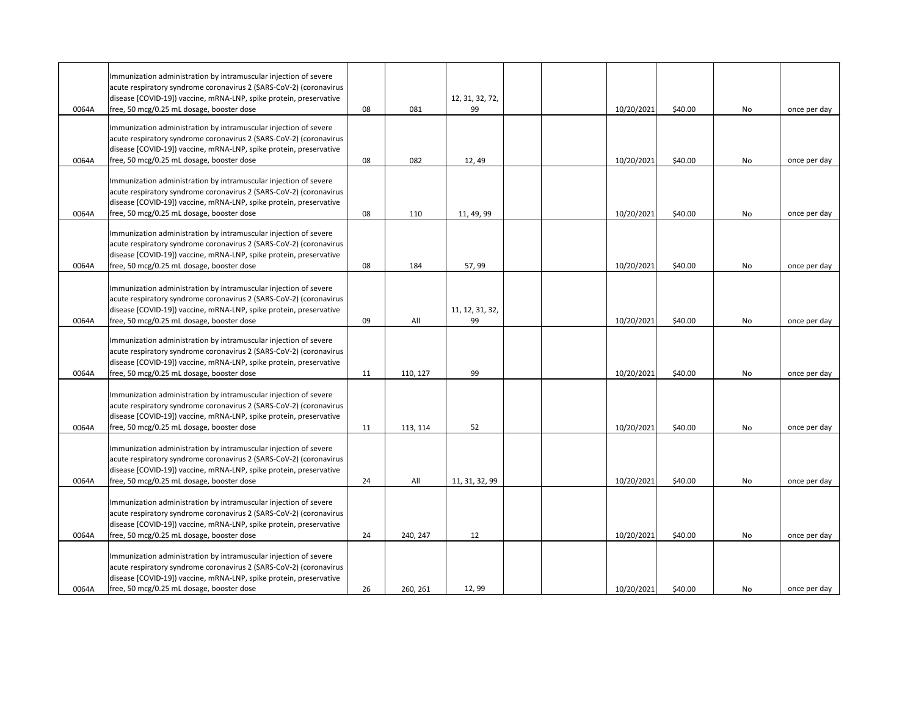|       | Immunization administration by intramuscular injection of severe                                                                       |    |          |                 |  |            |         |    |              |
|-------|----------------------------------------------------------------------------------------------------------------------------------------|----|----------|-----------------|--|------------|---------|----|--------------|
|       | acute respiratory syndrome coronavirus 2 (SARS-CoV-2) (coronavirus                                                                     |    |          |                 |  |            |         |    |              |
|       | disease [COVID-19]) vaccine, mRNA-LNP, spike protein, preservative                                                                     |    |          | 12, 31, 32, 72, |  |            |         |    |              |
| 0064A | free, 50 mcg/0.25 mL dosage, booster dose                                                                                              | 08 | 081      | 99              |  | 10/20/2021 | \$40.00 | No | once per day |
|       | Immunization administration by intramuscular injection of severe                                                                       |    |          |                 |  |            |         |    |              |
|       | acute respiratory syndrome coronavirus 2 (SARS-CoV-2) (coronavirus                                                                     |    |          |                 |  |            |         |    |              |
|       | disease [COVID-19]) vaccine, mRNA-LNP, spike protein, preservative                                                                     |    |          |                 |  |            |         |    |              |
| 0064A | free, 50 mcg/0.25 mL dosage, booster dose                                                                                              | 08 | 082      | 12, 49          |  | 10/20/2021 | \$40.00 | No | once per day |
|       |                                                                                                                                        |    |          |                 |  |            |         |    |              |
|       | Immunization administration by intramuscular injection of severe                                                                       |    |          |                 |  |            |         |    |              |
|       | acute respiratory syndrome coronavirus 2 (SARS-CoV-2) (coronavirus                                                                     |    |          |                 |  |            |         |    |              |
|       | disease [COVID-19]) vaccine, mRNA-LNP, spike protein, preservative                                                                     |    |          |                 |  |            |         |    |              |
| 0064A | free, 50 mcg/0.25 mL dosage, booster dose                                                                                              | 08 | 110      | 11, 49, 99      |  | 10/20/2021 | \$40.00 | No | once per day |
|       |                                                                                                                                        |    |          |                 |  |            |         |    |              |
|       | Immunization administration by intramuscular injection of severe<br>acute respiratory syndrome coronavirus 2 (SARS-CoV-2) (coronavirus |    |          |                 |  |            |         |    |              |
|       | disease [COVID-19]) vaccine, mRNA-LNP, spike protein, preservative                                                                     |    |          |                 |  |            |         |    |              |
| 0064A | free, 50 mcg/0.25 mL dosage, booster dose                                                                                              | 08 | 184      | 57, 99          |  | 10/20/2021 | \$40.00 | No | once per day |
|       |                                                                                                                                        |    |          |                 |  |            |         |    |              |
|       | Immunization administration by intramuscular injection of severe                                                                       |    |          |                 |  |            |         |    |              |
|       | acute respiratory syndrome coronavirus 2 (SARS-CoV-2) (coronavirus                                                                     |    |          |                 |  |            |         |    |              |
|       | disease [COVID-19]) vaccine, mRNA-LNP, spike protein, preservative                                                                     |    |          | 11, 12, 31, 32, |  |            |         |    |              |
| 0064A | free, 50 mcg/0.25 mL dosage, booster dose                                                                                              | 09 | All      | 99              |  | 10/20/2021 | \$40.00 | No | once per day |
|       |                                                                                                                                        |    |          |                 |  |            |         |    |              |
|       | Immunization administration by intramuscular injection of severe                                                                       |    |          |                 |  |            |         |    |              |
|       | acute respiratory syndrome coronavirus 2 (SARS-CoV-2) (coronavirus                                                                     |    |          |                 |  |            |         |    |              |
| 0064A | disease [COVID-19]) vaccine, mRNA-LNP, spike protein, preservative<br>free, 50 mcg/0.25 mL dosage, booster dose                        | 11 | 110, 127 | 99              |  | 10/20/2021 | \$40.00 | No | once per day |
|       |                                                                                                                                        |    |          |                 |  |            |         |    |              |
|       | Immunization administration by intramuscular injection of severe                                                                       |    |          |                 |  |            |         |    |              |
|       | acute respiratory syndrome coronavirus 2 (SARS-CoV-2) (coronavirus                                                                     |    |          |                 |  |            |         |    |              |
|       | disease [COVID-19]) vaccine, mRNA-LNP, spike protein, preservative                                                                     |    |          |                 |  |            |         |    |              |
| 0064A | free, 50 mcg/0.25 mL dosage, booster dose                                                                                              | 11 | 113, 114 | 52              |  | 10/20/2021 | \$40.00 | No | once per day |
|       |                                                                                                                                        |    |          |                 |  |            |         |    |              |
|       | Immunization administration by intramuscular injection of severe                                                                       |    |          |                 |  |            |         |    |              |
|       | acute respiratory syndrome coronavirus 2 (SARS-CoV-2) (coronavirus                                                                     |    |          |                 |  |            |         |    |              |
|       | disease [COVID-19]) vaccine, mRNA-LNP, spike protein, preservative                                                                     |    |          |                 |  |            |         |    |              |
| 0064A | free, 50 mcg/0.25 mL dosage, booster dose                                                                                              | 24 | All      | 11, 31, 32, 99  |  | 10/20/2021 | \$40.00 | No | once per day |
|       | Immunization administration by intramuscular injection of severe                                                                       |    |          |                 |  |            |         |    |              |
|       | acute respiratory syndrome coronavirus 2 (SARS-CoV-2) (coronavirus                                                                     |    |          |                 |  |            |         |    |              |
|       | disease [COVID-19]) vaccine, mRNA-LNP, spike protein, preservative                                                                     |    |          |                 |  |            |         |    |              |
| 0064A | free, 50 mcg/0.25 mL dosage, booster dose                                                                                              | 24 | 240, 247 | 12              |  | 10/20/2021 | \$40.00 | No | once per day |
|       |                                                                                                                                        |    |          |                 |  |            |         |    |              |
|       | Immunization administration by intramuscular injection of severe                                                                       |    |          |                 |  |            |         |    |              |
|       | acute respiratory syndrome coronavirus 2 (SARS-CoV-2) (coronavirus                                                                     |    |          |                 |  |            |         |    |              |
|       | disease [COVID-19]) vaccine, mRNA-LNP, spike protein, preservative                                                                     |    |          |                 |  |            |         |    |              |
| 0064A | free, 50 mcg/0.25 mL dosage, booster dose                                                                                              | 26 | 260, 261 | 12,99           |  | 10/20/2021 | \$40.00 | No | once per day |